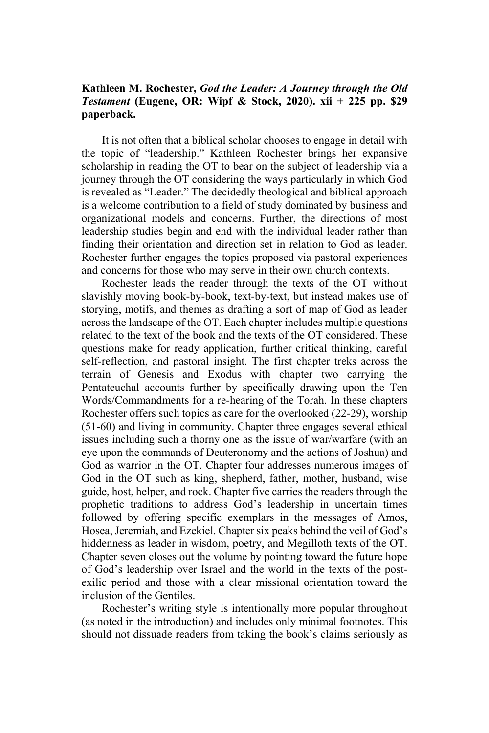## **Kathleen M. Rochester,** *God the Leader: A Journey through the Old Testament* **(Eugene, OR: Wipf & Stock, 2020). xii + 225 pp. \$29 paperback.**

It is not often that a biblical scholar chooses to engage in detail with the topic of "leadership." Kathleen Rochester brings her expansive scholarship in reading the OT to bear on the subject of leadership via a journey through the OT considering the ways particularly in which God is revealed as "Leader." The decidedly theological and biblical approach is a welcome contribution to a field of study dominated by business and organizational models and concerns. Further, the directions of most leadership studies begin and end with the individual leader rather than finding their orientation and direction set in relation to God as leader. Rochester further engages the topics proposed via pastoral experiences and concerns for those who may serve in their own church contexts.

Rochester leads the reader through the texts of the OT without slavishly moving book-by-book, text-by-text, but instead makes use of storying, motifs, and themes as drafting a sort of map of God as leader across the landscape of the OT. Each chapter includes multiple questions related to the text of the book and the texts of the OT considered. These questions make for ready application, further critical thinking, careful self-reflection, and pastoral insight. The first chapter treks across the terrain of Genesis and Exodus with chapter two carrying the Pentateuchal accounts further by specifically drawing upon the Ten Words/Commandments for a re-hearing of the Torah. In these chapters Rochester offers such topics as care for the overlooked (22-29), worship (51-60) and living in community. Chapter three engages several ethical issues including such a thorny one as the issue of war/warfare (with an eye upon the commands of Deuteronomy and the actions of Joshua) and God as warrior in the OT. Chapter four addresses numerous images of God in the OT such as king, shepherd, father, mother, husband, wise guide, host, helper, and rock. Chapter five carries the readers through the prophetic traditions to address God's leadership in uncertain times followed by offering specific exemplars in the messages of Amos, Hosea, Jeremiah, and Ezekiel. Chapter six peaks behind the veil of God's hiddenness as leader in wisdom, poetry, and Megilloth texts of the OT. Chapter seven closes out the volume by pointing toward the future hope of God's leadership over Israel and the world in the texts of the postexilic period and those with a clear missional orientation toward the inclusion of the Gentiles.

Rochester's writing style is intentionally more popular throughout (as noted in the introduction) and includes only minimal footnotes. This should not dissuade readers from taking the book's claims seriously as